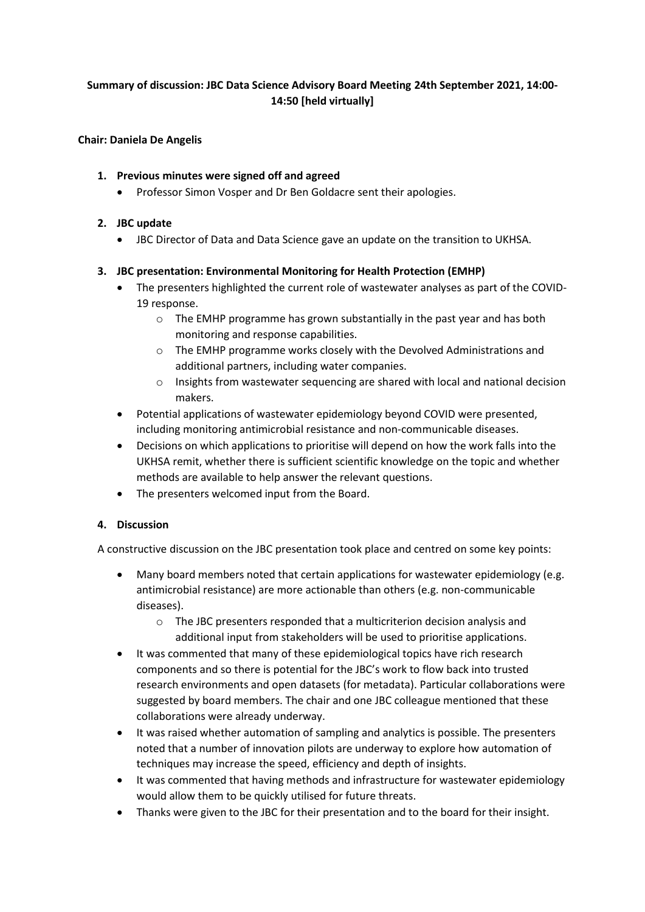# **Summary of discussion: JBC Data Science Advisory Board Meeting 24th September 2021, 14:00- 14:50 [held virtually]**

#### **Chair: Daniela De Angelis**

# **1. Previous minutes were signed off and agreed**

• Professor Simon Vosper and Dr Ben Goldacre sent their apologies.

# **2. JBC update**

• JBC Director of Data and Data Science gave an update on the transition to UKHSA.

# **3. JBC presentation: Environmental Monitoring for Health Protection (EMHP)**

- The presenters highlighted the current role of wastewater analyses as part of the COVID-19 response.
	- o The EMHP programme has grown substantially in the past year and has both monitoring and response capabilities.
	- o The EMHP programme works closely with the Devolved Administrations and additional partners, including water companies.
	- $\circ$  Insights from wastewater sequencing are shared with local and national decision makers.
- Potential applications of wastewater epidemiology beyond COVID were presented, including monitoring antimicrobial resistance and non-communicable diseases.
- Decisions on which applications to prioritise will depend on how the work falls into the UKHSA remit, whether there is sufficient scientific knowledge on the topic and whether methods are available to help answer the relevant questions.
- The presenters welcomed input from the Board.

# **4. Discussion**

A constructive discussion on the JBC presentation took place and centred on some key points:

- Many board members noted that certain applications for wastewater epidemiology (e.g. antimicrobial resistance) are more actionable than others (e.g. non-communicable diseases).
	- o The JBC presenters responded that a multicriterion decision analysis and additional input from stakeholders will be used to prioritise applications.
- It was commented that many of these epidemiological topics have rich research components and so there is potential for the JBC's work to flow back into trusted research environments and open datasets (for metadata). Particular collaborations were suggested by board members. The chair and one JBC colleague mentioned that these collaborations were already underway.
- It was raised whether automation of sampling and analytics is possible. The presenters noted that a number of innovation pilots are underway to explore how automation of techniques may increase the speed, efficiency and depth of insights.
- It was commented that having methods and infrastructure for wastewater epidemiology would allow them to be quickly utilised for future threats.
- Thanks were given to the JBC for their presentation and to the board for their insight.